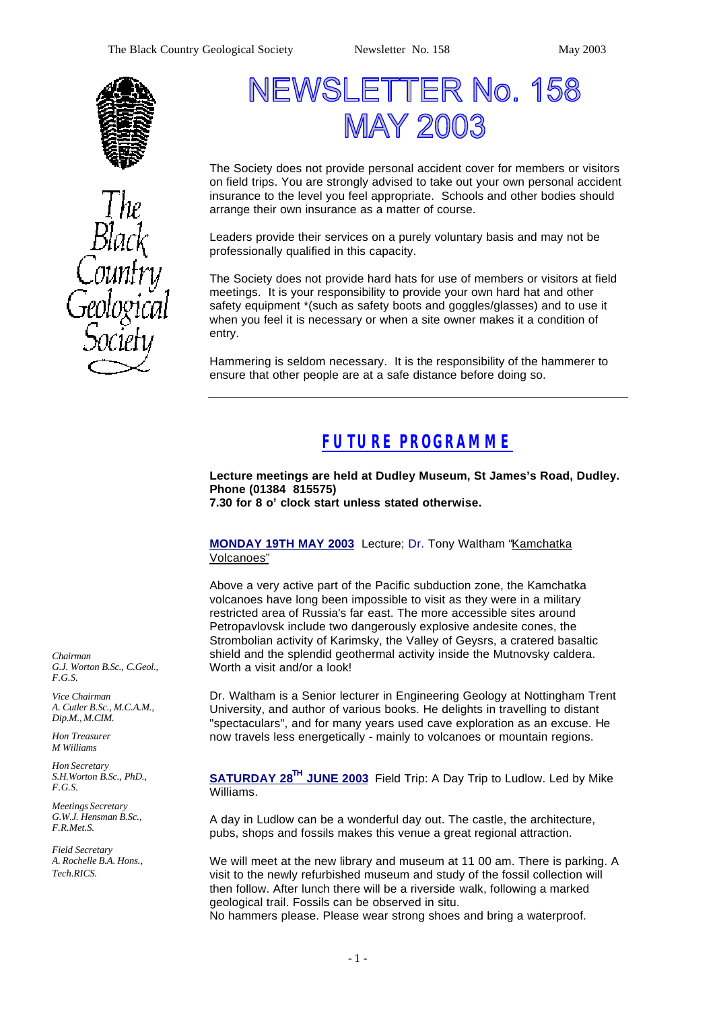



# NEWSLETTER No. 158 **MAY 2003**

The Society does not provide personal accident cover for members or visitors on field trips. You are strongly advised to take out your own personal accident insurance to the level you feel appropriate. Schools and other bodies should arrange their own insurance as a matter of course.

Leaders provide their services on a purely voluntary basis and may not be professionally qualified in this capacity.

The Society does not provide hard hats for use of members or visitors at field meetings. It is your responsibility to provide your own hard hat and other safety equipment \*(such as safety boots and goggles/glasses) and to use it when you feel it is necessary or when a site owner makes it a condition of entry.

Hammering is seldom necessary. It is the responsibility of the hammerer to ensure that other people are at a safe distance before doing so.

# *FUTURE PROGRAMME*

**Lecture meetings are held at Dudley Museum, St James's Road, Dudley. Phone (01384 815575) 7.30 for 8 o' clock start unless stated otherwise.**

**MONDAY 19TH MAY 2003** Lecture; Dr. Tony Waltham "Kamchatka Volcanoes"

Above a very active part of the Pacific subduction zone, the Kamchatka volcanoes have long been impossible to visit as they were in a military restricted area of Russia's far east. The more accessible sites around Petropavlovsk include two dangerously explosive andesite cones, the Strombolian activity of Karimsky, the Valley of Geysrs, a cratered basaltic shield and the splendid geothermal activity inside the Mutnovsky caldera. Worth a visit and/or a look!

Dr. Waltham is a Senior lecturer in Engineering Geology at Nottingham Trent University, and author of various books. He delights in travelling to distant "spectaculars", and for many years used cave exploration as an excuse. He now travels less energetically - mainly to volcanoes or mountain regions.

**SATURDAY 28TH JUNE 2003** Field Trip: A Day Trip to Ludlow. Led by Mike Williams.

A day in Ludlow can be a wonderful day out. The castle, the architecture, pubs, shops and fossils makes this venue a great regional attraction.

We will meet at the new library and museum at 11 00 am. There is parking. A visit to the newly refurbished museum and study of the fossil collection will then follow. After lunch there will be a riverside walk, following a marked geological trail. Fossils can be observed in situ. No hammers please. Please wear strong shoes and bring a waterproof.

*Chairman G.J. Worton B.Sc., C.Geol., F.G.S.*

*Vice Chairman A. Cutler B.Sc., M.C.A.M., Dip.M., M.CIM.*

*Hon Treasurer M Williams* 

*Hon Secretary S.H.Worton B.Sc., PhD., F.G.S.*

*Meetings Secretary G.W.J. Hensman B.Sc., F.R.Met.S.*

*Field Secretary A. Rochelle B.A. Hons., Tech.RICS.*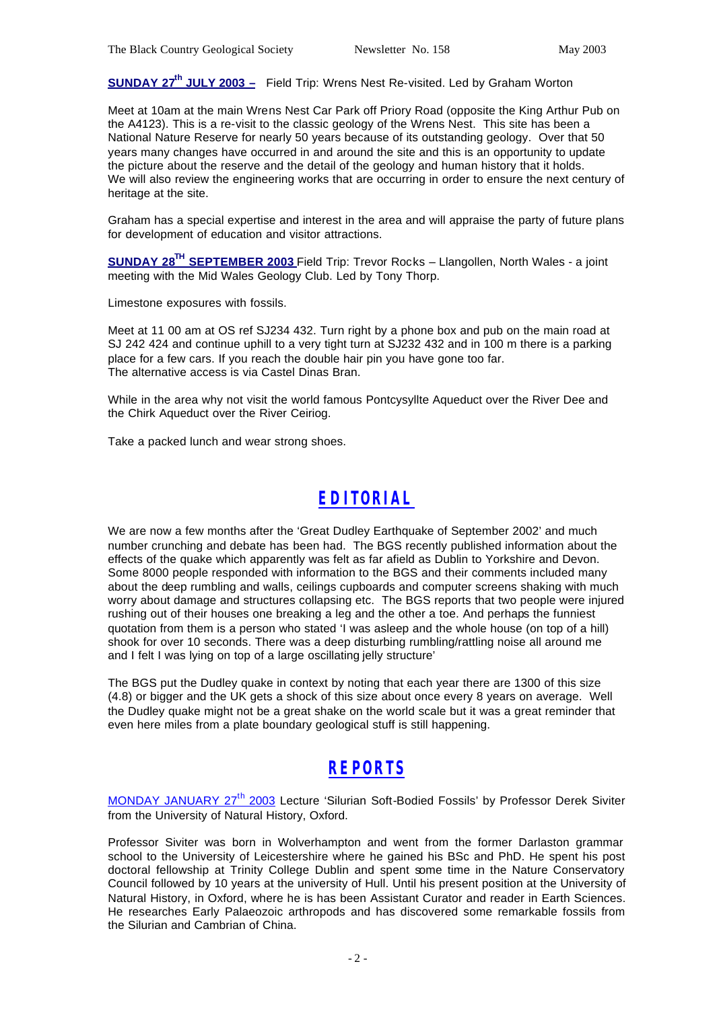**SUNDAY 27th JULY 2003 –** Field Trip: Wrens Nest Re-visited. Led by Graham Worton

Meet at 10am at the main Wrens Nest Car Park off Priory Road (opposite the King Arthur Pub on the A4123). This is a re-visit to the classic geology of the Wrens Nest. This site has been a National Nature Reserve for nearly 50 years because of its outstanding geology. Over that 50 years many changes have occurred in and around the site and this is an opportunity to update the picture about the reserve and the detail of the geology and human history that it holds. We will also review the engineering works that are occurring in order to ensure the next century of heritage at the site.

Graham has a special expertise and interest in the area and will appraise the party of future plans for development of education and visitor attractions.

**SUNDAY 28TH SEPTEMBER 2003** Field Trip: Trevor Rocks – Llangollen, North Wales - a joint meeting with the Mid Wales Geology Club. Led by Tony Thorp.

Limestone exposures with fossils.

Meet at 11 00 am at OS ref SJ234 432. Turn right by a phone box and pub on the main road at SJ 242 424 and continue uphill to a very tight turn at SJ232 432 and in 100 m there is a parking place for a few cars. If you reach the double hair pin you have gone too far. The alternative access is via Castel Dinas Bran.

While in the area why not visit the world famous Pontcysyllte Aqueduct over the River Dee and the Chirk Aqueduct over the River Ceiriog.

Take a packed lunch and wear strong shoes.

# *EDITORIAL*

We are now a few months after the 'Great Dudley Earthquake of September 2002' and much number crunching and debate has been had. The BGS recently published information about the effects of the quake which apparently was felt as far afield as Dublin to Yorkshire and Devon. Some 8000 people responded with information to the BGS and their comments included many about the deep rumbling and walls, ceilings cupboards and computer screens shaking with much worry about damage and structures collapsing etc. The BGS reports that two people were injured rushing out of their houses one breaking a leg and the other a toe. And perhaps the funniest quotation from them is a person who stated 'I was asleep and the whole house (on top of a hill) shook for over 10 seconds. There was a deep disturbing rumbling/rattling noise all around me and I felt I was lying on top of a large oscillating jelly structure'

The BGS put the Dudley quake in context by noting that each year there are 1300 of this size (4.8) or bigger and the UK gets a shock of this size about once every 8 years on average. Well the Dudley quake might not be a great shake on the world scale but it was a great reminder that even here miles from a plate boundary geological stuff is still happening.

# *REPORTS*

MONDAY JANUARY 27<sup>th</sup> 2003 Lecture 'Silurian Soft-Bodied Fossils' by Professor Derek Siviter from the University of Natural History, Oxford.

Professor Siviter was born in Wolverhampton and went from the former Darlaston grammar school to the University of Leicestershire where he gained his BSc and PhD. He spent his post doctoral fellowship at Trinity College Dublin and spent some time in the Nature Conservatory Council followed by 10 years at the university of Hull. Until his present position at the University of Natural History, in Oxford, where he is has been Assistant Curator and reader in Earth Sciences. He researches Early Palaeozoic arthropods and has discovered some remarkable fossils from the Silurian and Cambrian of China.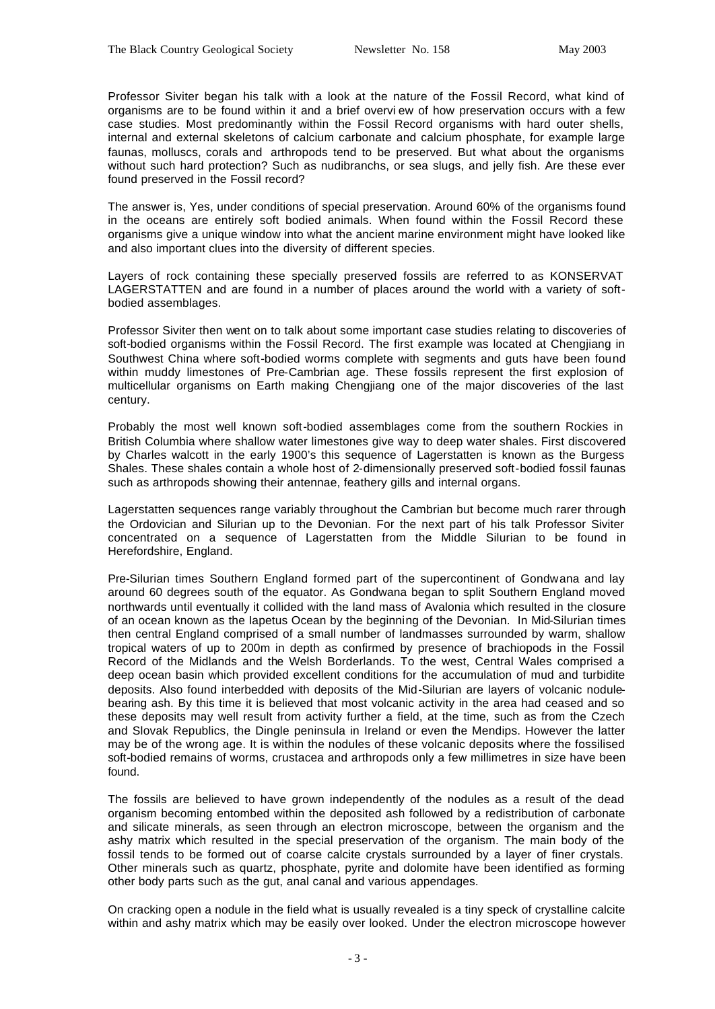Professor Siviter began his talk with a look at the nature of the Fossil Record, what kind of organisms are to be found within it and a brief overvi ew of how preservation occurs with a few case studies. Most predominantly within the Fossil Record organisms with hard outer shells, internal and external skeletons of calcium carbonate and calcium phosphate, for example large faunas, molluscs, corals and arthropods tend to be preserved. But what about the organisms without such hard protection? Such as nudibranchs, or sea slugs, and jelly fish. Are these ever found preserved in the Fossil record?

The answer is, Yes, under conditions of special preservation. Around 60% of the organisms found in the oceans are entirely soft bodied animals. When found within the Fossil Record these organisms give a unique window into what the ancient marine environment might have looked like and also important clues into the diversity of different species.

Layers of rock containing these specially preserved fossils are referred to as KONSERVAT LAGERSTATTEN and are found in a number of places around the world with a variety of softbodied assemblages.

Professor Siviter then went on to talk about some important case studies relating to discoveries of soft-bodied organisms within the Fossil Record. The first example was located at Chengjiang in Southwest China where soft-bodied worms complete with segments and guts have been found within muddy limestones of Pre-Cambrian age. These fossils represent the first explosion of multicellular organisms on Earth making Chengjiang one of the major discoveries of the last century.

Probably the most well known soft-bodied assemblages come from the southern Rockies in British Columbia where shallow water limestones give way to deep water shales. First discovered by Charles walcott in the early 1900's this sequence of Lagerstatten is known as the Burgess Shales. These shales contain a whole host of 2-dimensionally preserved soft-bodied fossil faunas such as arthropods showing their antennae, feathery gills and internal organs.

Lagerstatten sequences range variably throughout the Cambrian but become much rarer through the Ordovician and Silurian up to the Devonian. For the next part of his talk Professor Siviter concentrated on a sequence of Lagerstatten from the Middle Silurian to be found in Herefordshire, England.

Pre-Silurian times Southern England formed part of the supercontinent of Gondwana and lay around 60 degrees south of the equator. As Gondwana began to split Southern England moved northwards until eventually it collided with the land mass of Avalonia which resulted in the closure of an ocean known as the Iapetus Ocean by the beginning of the Devonian. In Mid-Silurian times then central England comprised of a small number of landmasses surrounded by warm, shallow tropical waters of up to 200m in depth as confirmed by presence of brachiopods in the Fossil Record of the Midlands and the Welsh Borderlands. To the west, Central Wales comprised a deep ocean basin which provided excellent conditions for the accumulation of mud and turbidite deposits. Also found interbedded with deposits of the Mid-Silurian are layers of volcanic nodulebearing ash. By this time it is believed that most volcanic activity in the area had ceased and so these deposits may well result from activity further a field, at the time, such as from the Czech and Slovak Republics, the Dingle peninsula in Ireland or even the Mendips. However the latter may be of the wrong age. It is within the nodules of these volcanic deposits where the fossilised soft-bodied remains of worms, crustacea and arthropods only a few millimetres in size have been found.

The fossils are believed to have grown independently of the nodules as a result of the dead organism becoming entombed within the deposited ash followed by a redistribution of carbonate and silicate minerals, as seen through an electron microscope, between the organism and the ashy matrix which resulted in the special preservation of the organism. The main body of the fossil tends to be formed out of coarse calcite crystals surrounded by a layer of finer crystals. Other minerals such as quartz, phosphate, pyrite and dolomite have been identified as forming other body parts such as the gut, anal canal and various appendages.

On cracking open a nodule in the field what is usually revealed is a tiny speck of crystalline calcite within and ashy matrix which may be easily over looked. Under the electron microscope however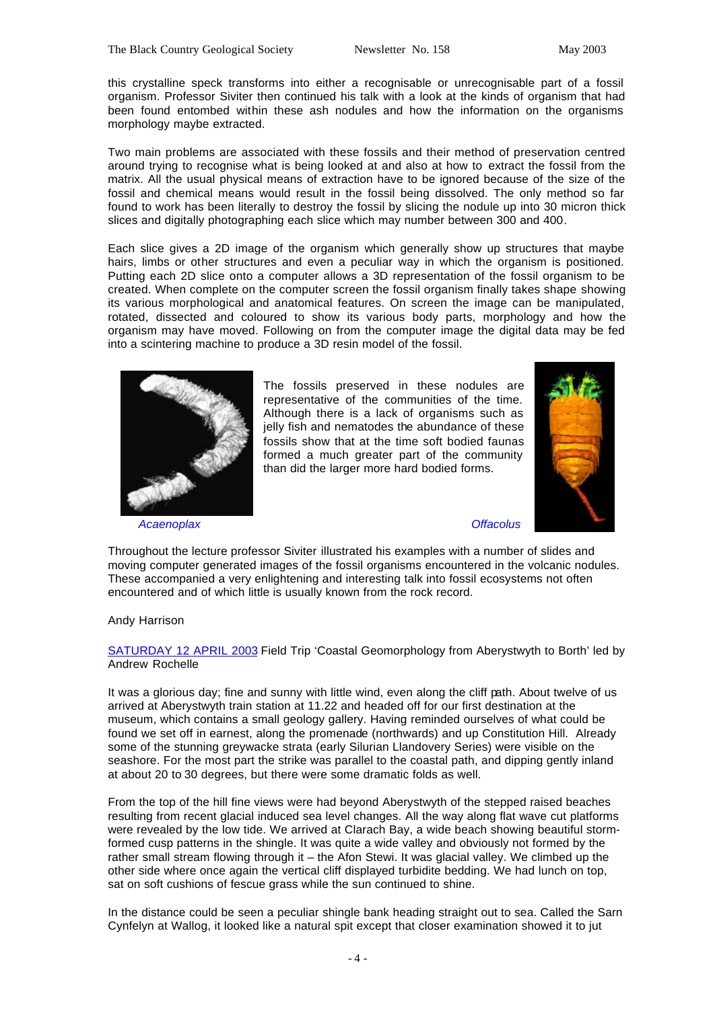this crystalline speck transforms into either a recognisable or unrecognisable part of a fossil organism. Professor Siviter then continued his talk with a look at the kinds of organism that had been found entombed within these ash nodules and how the information on the organisms morphology maybe extracted.

Two main problems are associated with these fossils and their method of preservation centred around trying to recognise what is being looked at and also at how to extract the fossil from the matrix. All the usual physical means of extraction have to be ignored because of the size of the fossil and chemical means would result in the fossil being dissolved. The only method so far found to work has been literally to destroy the fossil by slicing the nodule up into 30 micron thick slices and digitally photographing each slice which may number between 300 and 400.

Each slice gives a 2D image of the organism which generally show up structures that maybe hairs, limbs or other structures and even a peculiar way in which the organism is positioned. Putting each 2D slice onto a computer allows a 3D representation of the fossil organism to be created. When complete on the computer screen the fossil organism finally takes shape showing its various morphological and anatomical features. On screen the image can be manipulated, rotated, dissected and coloured to show its various body parts, morphology and how the organism may have moved. Following on from the computer image the digital data may be fed into a scintering machine to produce a 3D resin model of the fossil.



The fossils preserved in these nodules are representative of the communities of the time. Although there is a lack of organisms such as jelly fish and nematodes the abundance of these fossils show that at the time soft bodied faunas formed a much greater part of the community than did the larger more hard bodied forms.



 *Acaenoplax Offacolus*

Throughout the lecture professor Siviter illustrated his examples with a number of slides and moving computer generated images of the fossil organisms encountered in the volcanic nodules. These accompanied a very enlightening and interesting talk into fossil ecosystems not often encountered and of which little is usually known from the rock record.

Andy Harrison

SATURDAY 12 APRIL 2003 Field Trip 'Coastal Geomorphology from Aberystwyth to Borth' led by Andrew Rochelle

It was a glorious day; fine and sunny with little wind, even along the cliff path. About twelve of us arrived at Aberystwyth train station at 11.22 and headed off for our first destination at the museum, which contains a small geology gallery. Having reminded ourselves of what could be found we set off in earnest, along the promenade (northwards) and up Constitution Hill. Already some of the stunning greywacke strata (early Silurian Llandovery Series) were visible on the seashore. For the most part the strike was parallel to the coastal path, and dipping gently inland at about 20 to 30 degrees, but there were some dramatic folds as well.

From the top of the hill fine views were had beyond Aberystwyth of the stepped raised beaches resulting from recent glacial induced sea level changes. All the way along flat wave cut platforms were revealed by the low tide. We arrived at Clarach Bay, a wide beach showing beautiful stormformed cusp patterns in the shingle. It was quite a wide valley and obviously not formed by the rather small stream flowing through it – the Afon Stewi. It was glacial valley. We climbed up the other side where once again the vertical cliff displayed turbidite bedding. We had lunch on top, sat on soft cushions of fescue grass while the sun continued to shine.

In the distance could be seen a peculiar shingle bank heading straight out to sea. Called the Sarn Cynfelyn at Wallog, it looked like a natural spit except that closer examination showed it to jut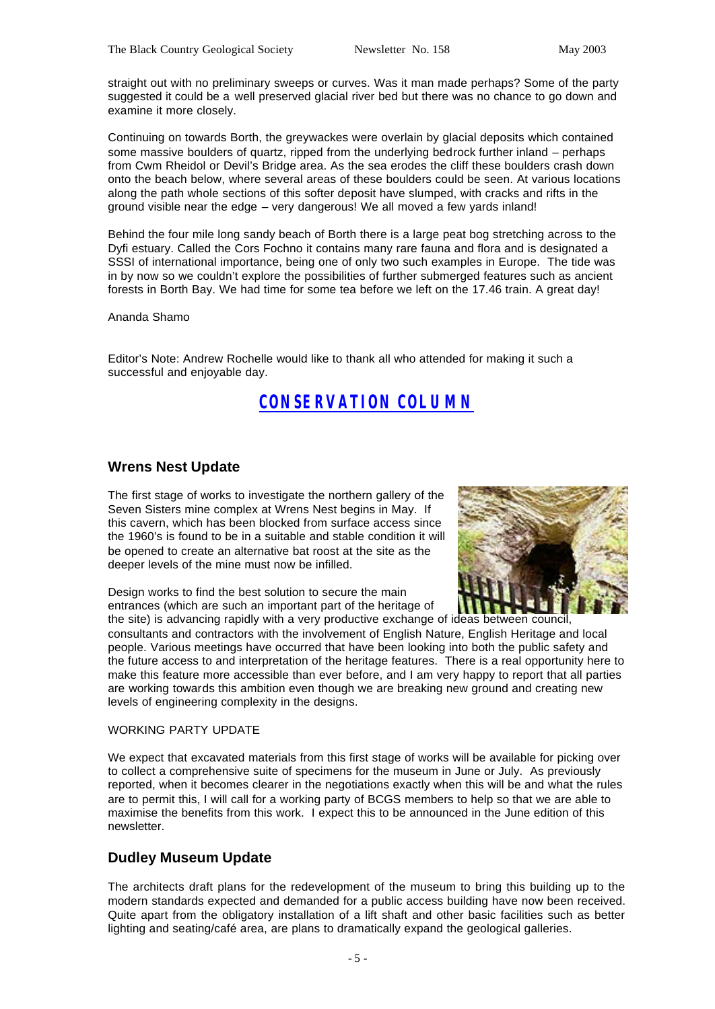straight out with no preliminary sweeps or curves. Was it man made perhaps? Some of the party suggested it could be a well preserved glacial river bed but there was no chance to go down and examine it more closely.

Continuing on towards Borth, the greywackes were overlain by glacial deposits which contained some massive boulders of quartz, ripped from the underlying bedrock further inland – perhaps from Cwm Rheidol or Devil's Bridge area. As the sea erodes the cliff these boulders crash down onto the beach below, where several areas of these boulders could be seen. At various locations along the path whole sections of this softer deposit have slumped, with cracks and rifts in the ground visible near the edge – very dangerous! We all moved a few yards inland!

Behind the four mile long sandy beach of Borth there is a large peat bog stretching across to the Dyfi estuary. Called the Cors Fochno it contains many rare fauna and flora and is designated a SSSI of international importance, being one of only two such examples in Europe. The tide was in by now so we couldn't explore the possibilities of further submerged features such as ancient forests in Borth Bay. We had time for some tea before we left on the 17.46 train. A great day!

#### Ananda Shamo

Editor's Note: Andrew Rochelle would like to thank all who attended for making it such a successful and enjoyable day.

### *CONSERVATION COLUMN*

### **Wrens Nest Update**

The first stage of works to investigate the northern gallery of the Seven Sisters mine complex at Wrens Nest begins in May. If this cavern, which has been blocked from surface access since the 1960's is found to be in a suitable and stable condition it will be opened to create an alternative bat roost at the site as the deeper levels of the mine must now be infilled.

Design works to find the best solution to secure the main entrances (which are such an important part of the heritage of the site) is advancing rapidly with a very productive exchange of ideas between council,



consultants and contractors with the involvement of English Nature, English Heritage and local people. Various meetings have occurred that have been looking into both the public safety and the future access to and interpretation of the heritage features. There is a real opportunity here to make this feature more accessible than ever before, and I am very happy to report that all parties are working towards this ambition even though we are breaking new ground and creating new levels of engineering complexity in the designs.

#### WORKING PARTY UPDATE

We expect that excavated materials from this first stage of works will be available for picking over to collect a comprehensive suite of specimens for the museum in June or July. As previously reported, when it becomes clearer in the negotiations exactly when this will be and what the rules are to permit this, I will call for a working party of BCGS members to help so that we are able to maximise the benefits from this work. I expect this to be announced in the June edition of this newsletter.

### **Dudley Museum Update**

The architects draft plans for the redevelopment of the museum to bring this building up to the modern standards expected and demanded for a public access building have now been received. Quite apart from the obligatory installation of a lift shaft and other basic facilities such as better lighting and seating/café area, are plans to dramatically expand the geological galleries.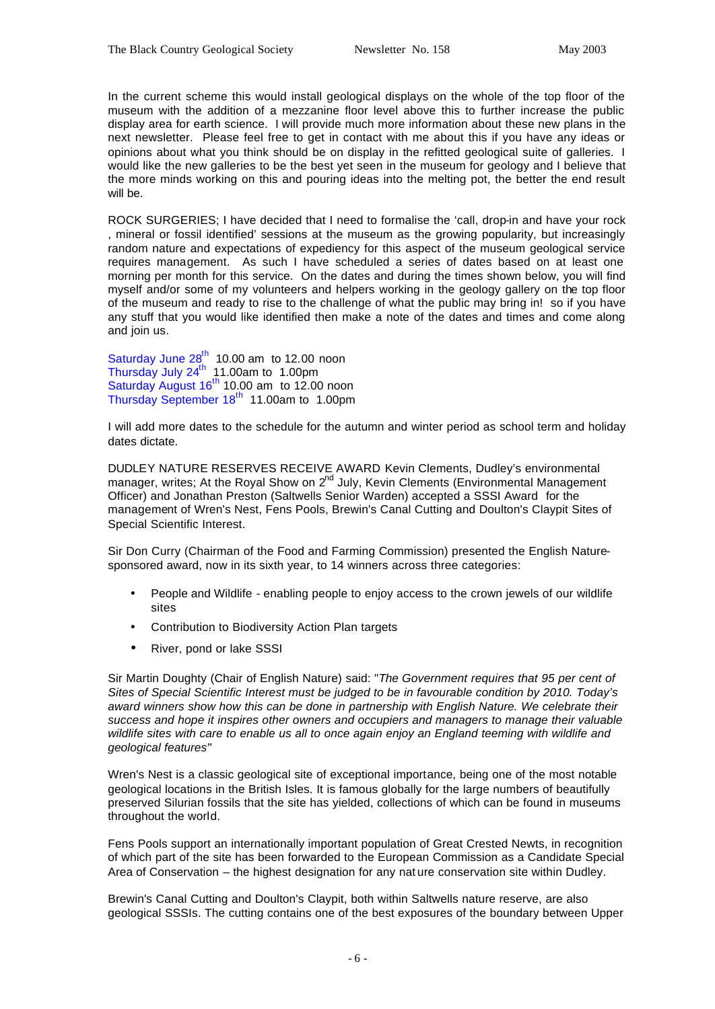In the current scheme this would install geological displays on the whole of the top floor of the museum with the addition of a mezzanine floor level above this to further increase the public display area for earth science. I will provide much more information about these new plans in the next newsletter. Please feel free to get in contact with me about this if you have any ideas or opinions about what you think should be on display in the refitted geological suite of galleries. I would like the new galleries to be the best yet seen in the museum for geology and I believe that the more minds working on this and pouring ideas into the melting pot, the better the end result will be.

ROCK SURGERIES; I have decided that I need to formalise the 'call, drop-in and have your rock , mineral or fossil identified' sessions at the museum as the growing popularity, but increasingly random nature and expectations of expediency for this aspect of the museum geological service requires management. As such I have scheduled a series of dates based on at least one morning per month for this service. On the dates and during the times shown below, you will find myself and/or some of my volunteers and helpers working in the geology gallery on the top floor of the museum and ready to rise to the challenge of what the public may bring in! so if you have any stuff that you would like identified then make a note of the dates and times and come along and join us.

Saturday June  $28<sup>th</sup>$  10.00 am to 12.00 noon Thursday July  $24<sup>th</sup>$  11.00am to 1.00pm Saturday August  $16^{th}$  10.00 am to 12.00 noon Thursday September 18<sup>th</sup> 11.00am to 1.00pm

I will add more dates to the schedule for the autumn and winter period as school term and holiday dates dictate.

DUDLEY NATURE RESERVES RECEIVE AWARD Kevin Clements, Dudley's environmental manager, writes; At the Royal Show on  $2^{nd}$  July, Kevin Clements (Environmental Management Officer) and Jonathan Preston (Saltwells Senior Warden) accepted a SSSI Award for the management of Wren's Nest, Fens Pools, Brewin's Canal Cutting and Doulton's Claypit Sites of Special Scientific Interest.

Sir Don Curry (Chairman of the Food and Farming Commission) presented the English Naturesponsored award, now in its sixth year, to 14 winners across three categories:

- People and Wildlife enabling people to enjoy access to the crown jewels of our wildlife sites
- Contribution to Biodiversity Action Plan targets
- River, pond or lake SSSI

Sir Martin Doughty (Chair of English Nature) said: "*The Government requires that 95 per cent of Sites of Special Scientific Interest must be judged to be in favourable condition by 2010. Today's award winners show how this can be done in partnership with English Nature. We celebrate their success and hope it inspires other owners and occupiers and managers to manage their valuable wildlife sites with care to enable us all to once again enjoy an England teeming with wildlife and geological features*"

Wren's Nest is a classic geological site of exceptional importance, being one of the most notable geological locations in the British Isles. It is famous globally for the large numbers of beautifully preserved Silurian fossils that the site has yielded, collections of which can be found in museums throughout the world.

Fens Pools support an internationally important population of Great Crested Newts, in recognition of which part of the site has been forwarded to the European Commission as a Candidate Special Area of Conservation – the highest designation for any nat ure conservation site within Dudley.

Brewin's Canal Cutting and Doulton's Claypit, both within Saltwells nature reserve, are also geological SSSIs. The cutting contains one of the best exposures of the boundary between Upper